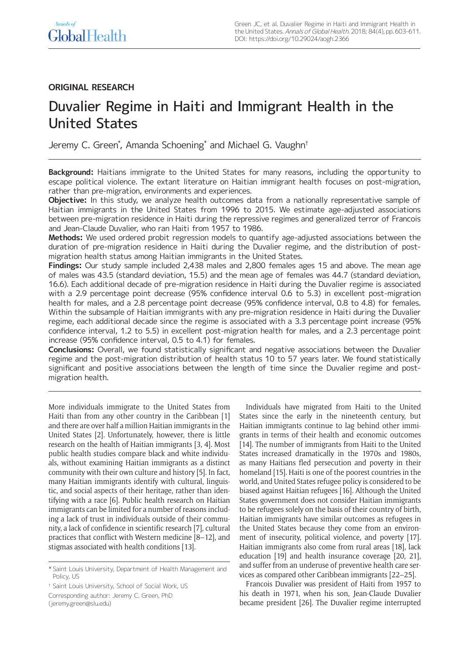# **ORIGINAL RESEARCH**

# Duvalier Regime in Haiti and Immigrant Health in the United States

Jeremy C. Green\* , Amanda Schoening\* and Michael G. Vaughn†

**Background:** Haitians immigrate to the United States for many reasons, including the opportunity to escape political violence. The extant literature on Haitian immigrant health focuses on post-migration, rather than pre-migration, environments and experiences.

**Objective:** In this study, we analyze health outcomes data from a nationally representative sample of Haitian immigrants in the United States from 1996 to 2015. We estimate age-adjusted associations between pre-migration residence in Haiti during the repressive regimes and generalized terror of Francois and Jean-Claude Duvalier, who ran Haiti from 1957 to 1986.

**Methods:** We used ordered probit regression models to quantify age-adjusted associations between the duration of pre-migration residence in Haiti during the Duvalier regime, and the distribution of postmigration health status among Haitian immigrants in the United States.

**Findings:** Our study sample included 2,438 males and 2,800 females ages 15 and above. The mean age of males was 43.5 (standard deviation, 15.5) and the mean age of females was 44.7 (standard deviation, 16.6). Each additional decade of pre-migration residence in Haiti during the Duvalier regime is associated with a 2.9 percentage point decrease (95% confidence interval 0.6 to 5.3) in excellent post-migration health for males, and a 2.8 percentage point decrease (95% confidence interval, 0.8 to 4.8) for females. Within the subsample of Haitian immigrants with any pre-migration residence in Haiti during the Duvalier regime, each additional decade since the regime is associated with a 3.3 percentage point increase (95% confidence interval, 1.2 to 5.5) in excellent post-migration health for males, and a 2.3 percentage point increase (95% confidence interval, 0.5 to 4.1) for females.

**Conclusions:** Overall, we found statistically significant and negative associations between the Duvalier regime and the post-migration distribution of health status 10 to 57 years later. We found statistically significant and positive associations between the length of time since the Duvalier regime and postmigration health.

More individuals immigrate to the United States from Haiti than from any other country in the Caribbean [1] and there are over half a million Haitian immigrants in the United States [2]. Unfortunately, however, there is little research on the health of Haitian immigrants [3, 4]. Most public health studies compare black and white individuals, without examining Haitian immigrants as a distinct community with their own culture and history [5]. In fact, many Haitian immigrants identify with cultural, linguistic, and social aspects of their heritage, rather than identifying with a race [6]. Public health research on Haitian immigrants can be limited for a number of reasons including a lack of trust in individuals outside of their community, a lack of confidence in scientific research [7], cultural practices that conflict with Western medicine [8–12], and stigmas associated with health conditions [13].

Individuals have migrated from Haiti to the United States since the early in the nineteenth century, but Haitian immigrants continue to lag behind other immigrants in terms of their health and economic outcomes [14]. The number of immigrants from Haiti to the United States increased dramatically in the 1970s and 1980s, as many Haitians fled persecution and poverty in their homeland [15]. Haiti is one of the poorest countries in the world, and United States refugee policy is considered to be biased against Haitian refugees [16]. Although the United States government does not consider Haitian immigrants to be refugees solely on the basis of their country of birth, Haitian immigrants have similar outcomes as refugees in the United States because they come from an environment of insecurity, political violence, and poverty [17]. Haitian immigrants also come from rural areas [18], lack education [19] and health insurance coverage [20, 21], and suffer from an underuse of preventive health care services as compared other Caribbean immigrants [22–25].

Francois Duvalier was president of Haiti from 1957 to his death in 1971, when his son, Jean-Claude Duvalier became president [26]. The Duvalier regime interrupted

<sup>\*</sup> Saint Louis University, Department of Health Management and Policy, US

<sup>†</sup> Saint Louis University, School of Social Work, US

Corresponding author: Jeremy C. Green, PhD

[<sup>\(</sup>jeremy.green@slu.edu](mailto:jeremy.green@slu.edu))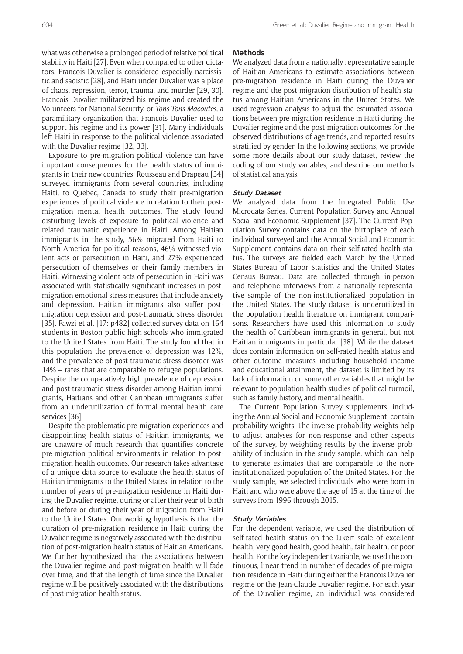what was otherwise a prolonged period of relative political stability in Haiti [27]. Even when compared to other dictators, Francois Duvalier is considered especially narcissistic and sadistic [28], and Haiti under Duvalier was a place of chaos, repression, terror, trauma, and murder [29, 30]. Francois Duvalier militarized his regime and created the Volunteers for National Security, or *Tons Tons Macoutes*, a paramilitary organization that Francois Duvalier used to support his regime and its power [31]. Many individuals left Haiti in response to the political violence associated with the Duvalier regime [32, 33].

Exposure to pre-migration political violence can have important consequences for the health status of immigrants in their new countries. Rousseau and Drapeau [34] surveyed immigrants from several countries, including Haiti, to Quebec, Canada to study their pre-migration experiences of political violence in relation to their postmigration mental health outcomes. The study found disturbing levels of exposure to political violence and related traumatic experience in Haiti. Among Haitian immigrants in the study, 56% migrated from Haiti to North America for political reasons, 46% witnessed violent acts or persecution in Haiti, and 27% experienced persecution of themselves or their family members in Haiti. Witnessing violent acts of persecution in Haiti was associated with statistically significant increases in postmigration emotional stress measures that include anxiety and depression. Haitian immigrants also suffer postmigration depression and post-traumatic stress disorder [35]. Fawzi et al. [17: p482] collected survey data on 164 students in Boston public high schools who immigrated to the United States from Haiti. The study found that in this population the prevalence of depression was 12%, and the prevalence of post-traumatic stress disorder was 14% – rates that are comparable to refugee populations. Despite the comparatively high prevalence of depression and post-traumatic stress disorder among Haitian immigrants, Haitians and other Caribbean immigrants suffer from an underutilization of formal mental health care services [36].

Despite the problematic pre-migration experiences and disappointing health status of Haitian immigrants, we are unaware of much research that quantifies concrete pre-migration political environments in relation to postmigration health outcomes. Our research takes advantage of a unique data source to evaluate the health status of Haitian immigrants to the United States, in relation to the number of years of pre-migration residence in Haiti during the Duvalier regime, during or after their year of birth and before or during their year of migration from Haiti to the United States. Our working hypothesis is that the duration of pre-migration residence in Haiti during the Duvalier regime is negatively associated with the distribution of post-migration health status of Haitian Americans. We further hypothesized that the associations between the Duvalier regime and post-migration health will fade over time, and that the length of time since the Duvalier regime will be positively associated with the distributions of post-migration health status.

## **Methods**

We analyzed data from a nationally representative sample of Haitian Americans to estimate associations between pre-migration residence in Haiti during the Duvalier regime and the post-migration distribution of health status among Haitian Americans in the United States. We used regression analysis to adjust the estimated associations between pre-migration residence in Haiti during the Duvalier regime and the post-migration outcomes for the observed distributions of age trends, and reported results stratified by gender. In the following sections, we provide some more details about our study dataset, review the coding of our study variables, and describe our methods of statistical analysis.

#### **Study Dataset**

We analyzed data from the Integrated Public Use Microdata Series, Current Population Survey and Annual Social and Economic Supplement [37]. The Current Population Survey contains data on the birthplace of each individual surveyed and the Annual Social and Economic Supplement contains data on their self-rated health status. The surveys are fielded each March by the United States Bureau of Labor Statistics and the United States Census Bureau. Data are collected through in-person and telephone interviews from a nationally representative sample of the non-institutionalized population in the United States. The study dataset is underutilized in the population health literature on immigrant comparisons. Researchers have used this information to study the health of Caribbean immigrants in general, but not Haitian immigrants in particular [38]. While the dataset does contain information on self-rated health status and other outcome measures including household income and educational attainment, the dataset is limited by its lack of information on some other variables that might be relevant to population health studies of political turmoil, such as family history, and mental health.

The Current Population Survey supplements, including the Annual Social and Economic Supplement, contain probability weights. The inverse probability weights help to adjust analyses for non-response and other aspects of the survey, by weighting results by the inverse probability of inclusion in the study sample, which can help to generate estimates that are comparable to the noninstitutionalized population of the United States. For the study sample, we selected individuals who were born in Haiti and who were above the age of 15 at the time of the surveys from 1996 through 2015.

#### **Study Variables**

For the dependent variable, we used the distribution of self-rated health status on the Likert scale of excellent health, very good health, good health, fair health, or poor health. For the key independent variable, we used the continuous, linear trend in number of decades of pre-migration residence in Haiti during either the Francois Duvalier regime or the Jean-Claude Duvalier regime. For each year of the Duvalier regime, an individual was considered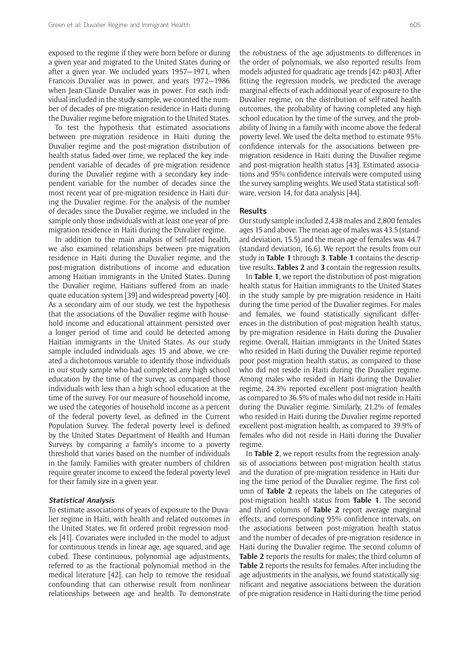exposed to the regime if they were born before or during a given year and migrated to the United States during or after a given year. We included years 1957—1971, when Francois Duvalier was in power, and years 1972—1986 when Jean-Claude Duvalier was in power. For each individual included in the study sample, we counted the number of decades of pre-migration residence in Haiti during the Duvalier regime before migration to the United States.

To test the hypothesis that estimated associations between pre-migration residence in Haiti during the Duvalier regime and the post-migration distribution of health status faded over time, we replaced the key independent variable of decades of pre-migration residence during the Duvalier regime with a secondary key independent variable for the number of decades since the most recent year of pre-migration residence in Haiti during the Duvalier regime. For the analysis of the number of decades since the Duvalier regime, we included in the sample only those individuals with at least one year of premigration residence in Haiti during the Duvalier regime.

In addition to the main analysis of self-rated health, we also examined relationships between pre-migration residence in Haiti during the Duvalier regime, and the post-migration distributions of income and education among Haitian immigrants in the United States. During the Duvalier regime, Haitians suffered from an inadequate education system [39] and widespread poverty [40]. As a secondary aim of our study, we test the hypothesis that the associations of the Duvalier regime with household income and educational attainment persisted over a longer period of time and could be detected among Haitian immigrants in the United States. As our study sample included individuals ages 15 and above, we created a dichotomous variable to identify those individuals in our study sample who had completed any high school education by the time of the survey, as compared those individuals with less than a high school education at the time of the survey. For our measure of household income, we used the categories of household income as a percent of the federal poverty level, as defined in the Current Population Survey. The federal poverty level is defined by the United States Department of Health and Human Surveys by comparing a family's income to a poverty threshold that varies based on the number of individuals in the family. Families with greater numbers of children require greater income to exceed the federal poverty level for their family size in a given year.

#### **Statistical Analysis**

To estimate associations of years of exposure to the Duvalier regime in Haiti, with health and related outcomes in the United States, we fit ordered probit regression models [41]. Covariates were included in the model to adjust for continuous trends in linear age, age squared, and age cubed. These continuous, polynomial age adjustments, referred to as the fractional polynomial method in the medical literature [42], can help to remove the residual confounding that can otherwise result from nonlinear relationships between age and health. To demonstrate

the robustness of the age adjustments to differences in the order of polynomials, we also reported results from models adjusted for quadratic age trends [42: p403]. After fitting the regression models, we predicted the average marginal effects of each additional year of exposure to the Duvalier regime, on the distribution of self-rated health outcomes, the probability of having completed any high school education by the time of the survey, and the probability of living in a family with income above the federal poverty level. We used the delta method to estimate 95% confidence intervals for the associations between premigration residence in Haiti during the Duvalier regime and post-migration health status [43]. Estimated associations and 95% confidence intervals were computed using the survey sampling weights. We used Stata statistical software, version 14, for data analysis [44].

#### **Results**

Our study sample included 2,438 males and 2,800 females ages 15 and above. The mean age of males was 43.5 (standard deviation, 15.5) and the mean age of females was 44.7 (standard deviation, 16.6). We report the results from our study in **Table 1** through **3**. **Table 1** contains the descriptive results. **Tables 2** and **3** contain the regression results.

In **Table 1**, we report the distribution of post-migration health status for Haitian immigrants to the United States in the study sample by pre-migration residence in Haiti during the time period of the Duvalier regimes. For males and females, we found statistically significant differences in the distribution of post-migration health status, by pre-migration residence in Haiti during the Duvalier regime. Overall, Haitian immigrants in the United States who resided in Haiti during the Duvalier regime reported poor post-migration health status, as compared to those who did not reside in Haiti during the Duvalier regime. Among males who resided in Haiti during the Duvalier regime, 24.3% reported excellent post-migration health as compared to 36.5% of males who did not reside in Haiti during the Duvalier regime. Similarly, 21.2% of females who resided in Haiti during the Duvalier regime reported excellent post-migration health, as compared to 39.9% of females who did not reside in Haiti during the Duvalier regime.

In **Table 2**, we report results from the regression analysis of associations between post-migration health status and the duration of pre-migration residence in Haiti during the time period of the Duvalier regime. The first column of **Table 2** repeats the labels on the categories of post-migration health status from **Table 1**. The second and third columns of **Table 2** report average marginal effects, and corresponding 95% confidence intervals, on the associations between post-migration health status and the number of decades of pre-migration residence in Haiti during the Duvalier regime. The second column of **Table 2** reports the results for males; the third column of **Table 2** reports the results for females. After including the age adjustments in the analysis, we found statistically significant and negative associations between the duration of pre-migration residence in Haiti during the time period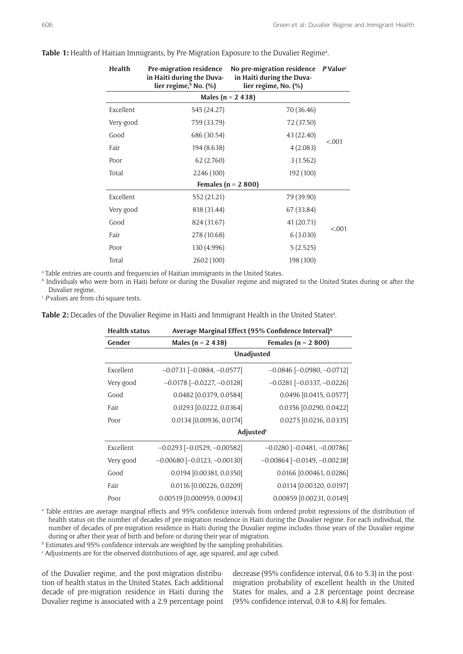| <b>Health</b>            | <b>Pre-migration residence</b><br>in Haiti during the Duva-<br>lier regime, <sup>b</sup> No. (%) | No pre-migration residence PValue <sup>c</sup><br>in Haiti during the Duva-<br>lier regime, No. (%) |        |  |
|--------------------------|--------------------------------------------------------------------------------------------------|-----------------------------------------------------------------------------------------------------|--------|--|
| Males ( $n = 2, 4, 38$ ) |                                                                                                  |                                                                                                     |        |  |
| Excellent                | 545 (24.27)                                                                                      | 70 (36.46)                                                                                          |        |  |
| Very good                | 759 (33.79)                                                                                      | 72 (37.50)                                                                                          |        |  |
| Good                     | 686 (30.54)                                                                                      | 43 (22.40)                                                                                          |        |  |
| Fair                     | 194 (8.638)                                                                                      | 4(2.083)                                                                                            | < 0.01 |  |
| Poor                     | 62 (2.760)                                                                                       | 3(1.562)                                                                                            |        |  |
| Total                    | 2246 (100)                                                                                       | 192 (100)                                                                                           |        |  |
|                          |                                                                                                  | Females ( $n = 2,800$ )                                                                             |        |  |
| Excellent                | 552 (21.21)                                                                                      | 79 (39.90)                                                                                          |        |  |
| Very good                | 818 (31.44)                                                                                      | 67 (33.84)                                                                                          |        |  |
| Good                     | 824 (31.67)                                                                                      | 41 (20.71)                                                                                          |        |  |
| Fair                     | 278 (10.68)                                                                                      | 6(3.030)                                                                                            | < .001 |  |
| Poor                     | 130 (4.996)                                                                                      | 5(2.525)                                                                                            |        |  |
| Total                    | 2602 (100)                                                                                       | 198 (100)                                                                                           |        |  |

#### Table 1: Health of Haitian Immigrants, by Pre-Migration Exposure to the Duvalier Regime<sup>a</sup>.

a Table entries are counts and frequencies of Haitian immigrants in the United States.

b Individuals who were born in Haiti before or during the Duvalier regime and migrated to the United States during or after the Duvalier regime.<br><sup>c</sup> *P* values are from chi-square tests.

Table 2: Decades of the Duvalier Regime in Haiti and Immigrant Health in the United States<sup>a</sup>.

| <b>Health status</b> | Average Marginal Effect (95% Confidence Interval) <sup>b</sup> |                                     |  |
|----------------------|----------------------------------------------------------------|-------------------------------------|--|
| Gender               | Males ( $n = 2, 438$ )                                         | Females ( $n = 2,800$ )             |  |
|                      | <b>Unadjusted</b>                                              |                                     |  |
| Excellent            | $-0.0731$ [ $-0.0884$ , $-0.0577$ ]                            | $-0.0846$ $[-0.0980, -0.0712]$      |  |
| Very good            | $-0.0178$ $[-0.0227, -0.0128]$                                 | $-0.0281$ [ $-0.0337$ , $-0.0226$ ] |  |
| Good                 | 0.0482 [0.0379, 0.0584]                                        | 0.0496 [0.0415, 0.0577]             |  |
| Fair                 | $0.0293$ [0.0222, 0.0364]                                      | $0.0356$ [0.0290, 0.0422]           |  |
| Poor                 | 0.0134 [0.00936, 0.0174]                                       | $0.0275$ [0.0216, 0.0335]           |  |
|                      | Adjusted <sup>c</sup>                                          |                                     |  |
| Excellent            | $-0.0293$ $[-0.0529, -0.00582]$                                | $-0.0280$ $[-0.0481, -0.00786]$     |  |
| Very good            | $-0.00680$ $[-0.0123, -0.00130]$                               | $-0.00864$ $[-0.0149, -0.00238]$    |  |
| Good                 | $0.0194$ [0.00381, 0.0350]                                     | 0.0166 [0.00461, 0.0286]            |  |
| Fair                 | 0.0116 [0.00226, 0.0209]                                       | 0.0114 [0.00320, 0.0197]            |  |
| Poor                 | 0.00519 [0.000959, 0.00943]                                    | 0.00859 [0.00231, 0.0149]           |  |

a Table entries are average marginal effects and 95% confidence intervals from ordered probit regressions of the distribution of health status on the number of decades of pre-migration residence in Haiti during the Duvalier regime. For each individual, the number of decades of pre-migration residence in Haiti during the Duvalier regime includes those years of the Duvalier regime during or after their year of birth and before or during their year of migration.

b Estimates and 95% confidence intervals are weighted by the sampling probabilities.

 $\epsilon$  Adjustments are for the observed distributions of age, age squared, and age cubed.

of the Duvalier regime, and the post-migration distribution of health status in the United States. Each additional decade of pre-migration residence in Haiti during the Duvalier regime is associated with a 2.9 percentage point

decrease (95% confidence interval, 0.6 to 5.3) in the postmigration probability of excellent health in the United States for males, and a 2.8 percentage point decrease (95% confidence interval, 0.8 to 4.8) for females.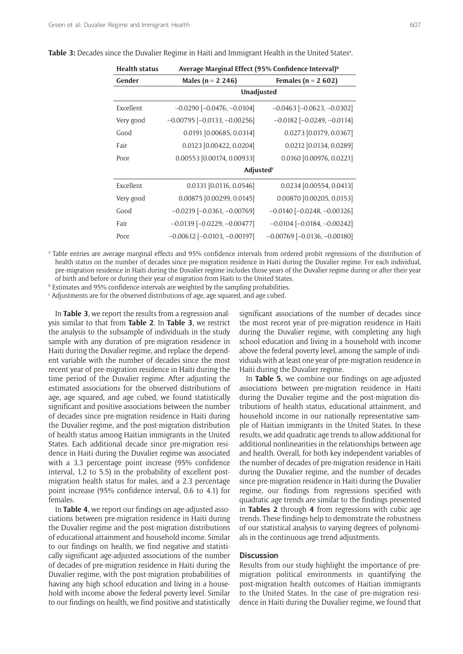| Average Marginal Effect (95% Confidence Interval) <sup>b</sup> |                                       |  |
|----------------------------------------------------------------|---------------------------------------|--|
| Males ( $n = 2, 246$ )                                         | Females ( $n = 2602$ )                |  |
| Unadjusted                                                     |                                       |  |
| $-0.0290$ [ $-0.0476$ , $-0.0104$ ]                            | $-0.0463$ $[-0.0623, -0.0302]$        |  |
| $-0.00795$ $[-0.0133, -0.00256]$                               | $-0.0182$ [ $-0.0249$ , $-0.0114$ ]   |  |
| 0.0191 [0.00685, 0.0314]                                       | 0.0273 [0.0179, 0.0367]               |  |
| 0.0123 [0.00422, 0.0204]                                       | 0.0212 [0.0134, 0.0289]               |  |
| 0.00553 [0.00174, 0.00933]                                     | 0.0160 [0.00976, 0.0221]              |  |
|                                                                |                                       |  |
| $0.0331$ [0.0116, 0.0546]                                      | 0.0234 [0.00554, 0.0413]              |  |
| 0.00875 [0.00299, 0.0145]                                      | 0.00870 [0.00205, 0.0153]             |  |
| $-0.0219$ [ $-0.0361$ , $-0.00769$ ]                           | $-0.0140$ $[-0.0248, -0.00326]$       |  |
| $-0.0139$ $[-0.0229, -0.00477]$                                | $-0.0104$ $[-0.0184, -0.00242]$       |  |
| $-0.00612$ $[-0.0103, -0.00197]$                               | $-0.00769$ [ $-0.0136$ , $-0.00180$ ] |  |
|                                                                | <b>Adjusted</b> <sup>c</sup>          |  |

**Table 3:** Decades since the Duvalier Regime in Haiti and Immigrant Health in the United Statesa .

a Table entries are average marginal effects and 95% confidence intervals from ordered probit regressions of the distribution of health status on the number of decades since pre-migration residence in Haiti during the Duvalier regime. For each individual, pre-migration residence in Haiti during the Duvalier regime includes those years of the Duvalier regime during or after their year of birth and before or during their year of migration from Haiti to the United States.

**b** Estimates and 95% confidence intervals are weighted by the sampling probabilities.

 $\epsilon$  Adjustments are for the observed distributions of age, age squared, and age cubed.

In **Table 3**, we report the results from a regression analysis similar to that from **Table 2**. In **Table 3**, we restrict the analysis to the subsample of individuals in the study sample with any duration of pre-migration residence in Haiti during the Duvalier regime, and replace the dependent variable with the number of decades since the most recent year of pre-migration residence in Haiti during the time period of the Duvalier regime. After adjusting the estimated associations for the observed distributions of age, age squared, and age cubed, we found statistically significant and positive associations between the number of decades since pre-migration residence in Haiti during the Duvalier regime, and the post-migration distribution of health status among Haitian immigrants in the United States. Each additional decade since pre-migration residence in Haiti during the Duvalier regime was associated with a 3.3 percentage point increase (95% confidence interval, 1.2 to 5.5) in the probability of excellent postmigration health status for males, and a 2.3 percentage point increase (95% confidence interval, 0.6 to 4.1) for females.

In **Table 4**, we report our findings on age-adjusted associations between pre-migration residence in Haiti during the Duvalier regime and the post-migration distributions of educational attainment and household income. Similar to our findings on health, we find negative and statistically significant age-adjusted associations of the number of decades of pre-migration residence in Haiti during the Duvalier regime, with the post-migration probabilities of having any high school education and living in a household with income above the federal poverty level. Similar to our findings on health, we find positive and statistically significant associations of the number of decades since the most recent year of pre-migration residence in Haiti during the Duvalier regime, with completing any high school education and living in a household with income above the federal poverty level, among the sample of individuals with at least one year of pre-migration residence in Haiti during the Duvalier regime.

In **Table 5**, we combine our findings on age-adjusted associations between pre-migration residence in Haiti during the Duvalier regime and the post-migration distributions of health status, educational attainment, and household income in our nationally representative sample of Haitian immigrants in the United States. In these results, we add quadratic age trends to allow additional for additional nonlinearities in the relationships between age and health. Overall, for both key independent variables of the number of decades of pre-migration residence in Haiti during the Duvalier regime, and the number of decades since pre-migration residence in Haiti during the Duvalier regime, our findings from regressions specified with quadratic age trends are similar to the findings presented in **Tables 2** through **4** from regressions with cubic age trends. These findings help to demonstrate the robustness of our statistical analysis to varying degrees of polynomials in the continuous age trend adjustments.

## **Discussion**

Results from our study highlight the importance of premigration political environments in quantifying the post-migration health outcomes of Haitian immigrants to the United States. In the case of pre-migration residence in Haiti during the Duvalier regime, we found that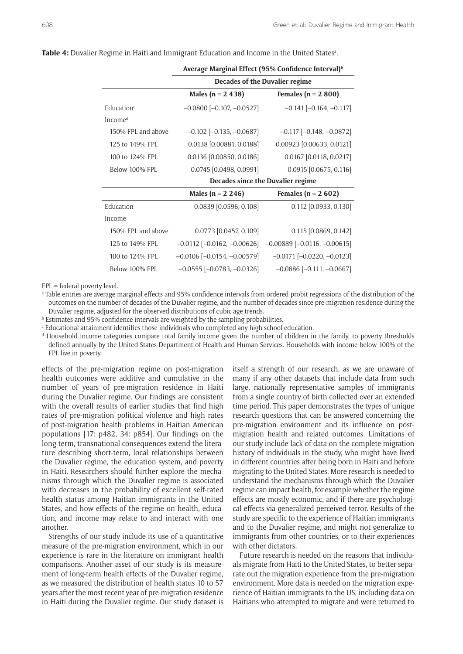|                        | Decades of the Duvalier regime    |                                    |  |
|------------------------|-----------------------------------|------------------------------------|--|
|                        | Males ( $n = 2, 438$ )            | Females ( $n = 2,800$ )            |  |
| Education <sup>c</sup> | $-0.0800$ $[-0.107, -0.0527]$     | $-0.141$ $[-0.164, -0.117]$        |  |
| Incomed                |                                   |                                    |  |
| 150% FPL and above     | $-0.102$ $[-0.135, -0.0687]$      | $-0.117$ $[-0.148, -0.0872]$       |  |
| 125 to 149% FPL        | 0.0138 [0.00881, 0.0188]          | $0.00923$ [0.00633, 0.0121]        |  |
| 100 to 124% FPL        | 0.0136 [0.00850, 0.0186]          | $0.0167$ [0.0118, 0.0217]          |  |
| Below 100% FPL         | 0.0745 [0.0498, 0.0991]           | $0.0915$ [0.0675, 0.116]           |  |
|                        | Decades since the Duvalier regime |                                    |  |
|                        | Males ( $n = 2, 246$ )            | Females ( $n = 2602$ )             |  |
| Education              | $0.0839$ [0.0596, 0.108]          | $0.112$ [0.0933, 0.130]            |  |
| Income                 |                                   |                                    |  |
| 150% FPL and above     | $0.0773$ [0.0457, 0.109]          | $0.115$ [0.0869, 0.142]            |  |
| 125 to 149% FPL        | $-0.0112$ $[-0.0162, -0.00626]$   | $-0.00889$ $[-0.0116, -0.00615]$   |  |
| 100 to 124% FPL        | $-0.0106$ $[-0.0154, -0.00579]$   | $-0.0171$ $[-0.0220, -0.0123]$     |  |
| Below 100% FPL         | $-0.0555$ [ $-0.0783, -0.0326$ ]  | $-0.0886$ [ $-0.111$ , $-0.0667$ ] |  |
|                        |                                   |                                    |  |

#### Table 4: Duvalier Regime in Haiti and Immigrant Education and Income in the United States<sup>a</sup>.

**Average Marginal Effect (95% Confidence Interval)<sup>b</sup>**

FPL = federal poverty level.

a Table entries are average marginal effects and 95% confidence intervals from ordered probit regressions of the distribution of the outcomes on the number of decades of the Duvalier regime, and the number of decades since pre-migration residence during the Duvalier regime, adjusted for the observed distributions of cubic age trends.

**b** Estimates and 95% confidence intervals are weighted by the sampling probabilities.

 $\epsilon$  Educational attainment identifies those individuals who completed any high school education.

d Household income categories compare total family income given the number of children in the family, to poverty thresholds defined annually by the United States Department of Health and Human Services. Households with income below 100% of the FPL live in poverty.

effects of the pre-migration regime on post-migration health outcomes were additive and cumulative in the number of years of pre-migration residence in Haiti during the Duvalier regime. Our findings are consistent with the overall results of earlier studies that find high rates of pre-migration political violence and high rates of post-migration health problems in Haitian American populations [17: p482, 34: p854]. Our findings on the long-term, transnational consequences extend the literature describing short-term, local relationships between the Duvalier regime, the education system, and poverty in Haiti. Researchers should further explore the mechanisms through which the Duvalier regime is associated with decreases in the probability of excellent self-rated health status among Haitian immigrants in the United States, and how effects of the regime on health, education, and income may relate to and interact with one another.

Strengths of our study include its use of a quantitative measure of the pre-migration environment, which in our experience is rare in the literature on immigrant health comparisons. Another asset of our study is its measurement of long-term health effects of the Duvalier regime, as we measured the distribution of health status 10 to 57 years after the most recent year of pre-migration residence in Haiti during the Duvalier regime. Our study dataset is itself a strength of our research, as we are unaware of many if any other datasets that include data from such large, nationally representative samples of immigrants from a single country of birth collected over an extended time period. This paper demonstrates the types of unique research questions that can be answered concerning the pre-migration environment and its influence on postmigration health and related outcomes. Limitations of our study include lack of data on the complete migration history of individuals in the study, who might have lived in different countries after being born in Haiti and before migrating to the United States. More research is needed to understand the mechanisms through which the Duvalier regime can impact health, for example whether the regime effects are mostly economic, and if there are psychological effects via generalized perceived terror. Results of the study are specific to the experience of Haitian immigrants and to the Duvalier regime, and might not generalize to immigrants from other countries, or to their experiences with other dictators.

Future research is needed on the reasons that individuals migrate from Haiti to the United States, to better separate out the migration experience from the pre-migration environment. More data is needed on the migration experience of Haitian immigrants to the US, including data on Haitians who attempted to migrate and were returned to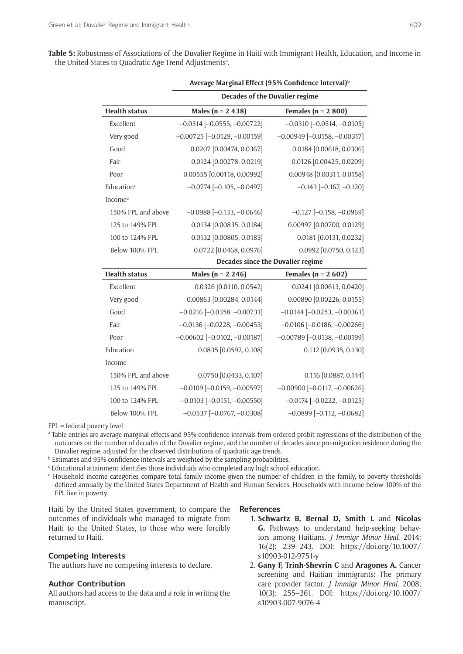|            | PU 1 |               |
|------------|------|---------------|
| . .<br>$-$ | ۰.   | I<br>۰.<br>۰. |

**Table 5:** Robustness of Associations of the Duvalier Regime in Haiti with Immigrant Health, Education, and Income in the United States to Quadratic Age Trend Adjustments<sup>a</sup>.

**Average Marginal Effect (95% Confidence Interval)<sup>b</sup>**

|                        | Decades of the Duvalier regime       |                                       |  |
|------------------------|--------------------------------------|---------------------------------------|--|
| <b>Health status</b>   | Males ( $n = 2, 438$ )               | Females ( $n = 2,800$ )               |  |
| Excellent              | $-0.0314$ $[-0.0555, -0.00722]$      | $-0.0310$ $[-0.0514, -0.0105]$        |  |
| Very good              | $-0.00725$ $[-0.0129, -0.00159]$     | $-0.00949$ [ $-0.0158$ , $-0.00317$ ] |  |
| Good                   | 0.0207 [0.00474, 0.0367]             | 0.0184 [0.00618, 0.0306]              |  |
| Fair                   | 0.0124 [0.00278, 0.0219]             | 0.0126 [0.00425, 0.0209]              |  |
| Poor                   | 0.00555 [0.00118, 0.00992]           | 0.00948 [0.00311, 0.0158]             |  |
| Education <sup>c</sup> | $-0.0774$ $[-0.105, -0.0497]$        | $-0.143$ $[-0.167, -0.120]$           |  |
| Incomed                |                                      |                                       |  |
| 150% FPL and above     | $-0.0988$ [ $-0.133$ , $-0.0646$ ]   | $-0.127$ $[-0.158, -0.0969]$          |  |
| 125 to 149% FPL        | 0.0134 [0.00835, 0.0184]             | 0.00997 [0.00700, 0.0129]             |  |
| 100 to 124% FPL        | 0.0132 [0.00805, 0.0183]             | 0.0181 [0.0131, 0.0232]               |  |
| Below 100% FPL         | 0.0722 [0.0468, 0.0976]              | 0.0992 [0.0750, 0.123]                |  |
|                        | Decades since the Duvalier regime    |                                       |  |
| <b>Health status</b>   | Males ( $n = 2, 246$ )               | Females ( $n = 2602$ )                |  |
| Excellent              | 0.0326 [0.0110, 0.0542]              | 0.0241 [0.00613, 0.0420]              |  |
| Very good              | 0.00863 [0.00284, 0.0144]            | 0.00890 [0.00226, 0.0155]             |  |
| Good                   | $-0.0216$ [ $-0.0358$ , $-0.00731$ ] | $-0.0144$ $[-0.0253, -0.00361]$       |  |
| Fair                   | $-0.0136$ [ $-0.0228$ , $-0.00453$ ] | $-0.0106$ [ $-0.0186$ , $-0.00266$ ]  |  |
| Poor                   | $-0.00602$ [ $-0.0102, -0.00187$ ]   | $-0.00789$ [ $-0.0138, -0.00199$ ]    |  |
| Education              | 0.0835 [0.0592, 0.108]               | 0.112 [0.0935, 0.130]                 |  |
| Income                 |                                      |                                       |  |
| 150% FPL and above     | 0.0750 [0.0433, 0.107]               | 0.116 [0.0887, 0.144]                 |  |
| 125 to 149% FPL        | $-0.0109$ $[-0.0159, -0.00597]$      | $-0.00900$ $[-0.0117, -0.00626]$      |  |
| 100 to 124% FPL        | $-0.0103$ $[-0.0151, -0.00550]$      | $-0.0174$ $[-0.0222, -0.0125]$        |  |
| Below 100% FPL         | $-0.0537$ $[-0.0767, -0.0308]$       | $-0.0899$ [ $-0.112, -0.0682$ ]       |  |

FPL = federal poverty level

a Table entries are average marginal effects and 95% confidence intervals from ordered probit regressions of the distribution of the outcomes on the number of decades of the Duvalier regime, and the number of decades since pre-migration residence during the Duvalier regime, adjusted for the observed distributions of quadratic age trends.

**b** Estimates and 95% confidence intervals are weighted by the sampling probabilities.

 $\epsilon$  Educational attainment identifies those individuals who completed any high school education.

d Household income categories compare total family income given the number of children in the family, to poverty thresholds defined annually by the United States Department of Health and Human Services. Households with income below 100% of the FPL live in poverty.

Haiti by the United States government, to compare the outcomes of individuals who managed to migrate from Haiti to the United States, to those who were forcibly returned to Haiti.

# **Competing Interests**

The authors have no competing interests to declare.

# **Author Contribution**

All authors had access to the data and a role in writing the manuscript.

#### **References**

- 1. **Schwartz B, Bernal D, Smith L** and **Nicolas G.** Pathways to understand help-seeking behaviors among Haitians. *J Immigr Minor Heal*. 2014; 16(2): 239–243. DOI: [https://doi.org/10.1007/](https://doi.org/10.1007/s10903-012-9751-y) [s10903-012-9751-y](https://doi.org/10.1007/s10903-012-9751-y)
- 2. **Gany F, Trinh-Shevrin C** and **Aragones A.** Cancer screening and Haitian immigrants: The primary care provider factor. *J Immigr Minor Heal*. 2008; 10(3): 255–261. DOI: [https://doi.org/10.1007/](https://doi.org/10.1007/s10903-007-9076-4) [s10903-007-9076-4](https://doi.org/10.1007/s10903-007-9076-4)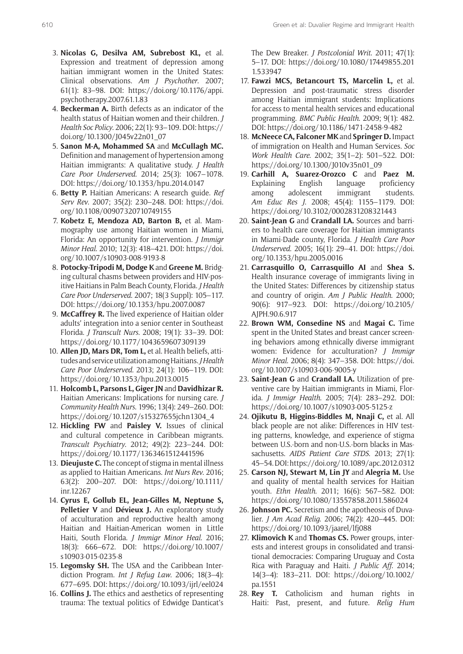- 3. **Nicolas G, Desilva AM, Subrebost KL,** et al. Expression and treatment of depression among haitian immigrant women in the United States: Clinical observations. *Am J Psychother*. 2007; 61(1): 83–98. DOI: [https://doi.org/10.1176/appi.](https://doi.org/10.1176/appi.psychotherapy.2007.61.1.83) [psychotherapy.2007.61.1.83](https://doi.org/10.1176/appi.psychotherapy.2007.61.1.83)
- 4. **Beckerman A.** Birth defects as an indicator of the health status of Haitian women and their children. *J Health Soc Policy*. 2006; 22(1): 93–109. DOI: [https://](https://doi.org/10.1300/J045v22n01_07) [doi.org/10.1300/J045v22n01\\_07](https://doi.org/10.1300/J045v22n01_07)
- 5. **Sanon M-A, Mohammed SA** and **McCullagh MC.**  Definition and management of hypertension among Haitian immigrants: A qualitative study. *J Health Care Poor Underserved*. 2014; 25(3): 1067–1078. DOI: <https://doi.org/10.1353/hpu.2014.0147>
- 6. **Betty P.** Haitian Americans: A research guide. *Ref Serv Rev*. 2007; 35(2): 230–248. DOI: [https://doi.](https://doi.org/10.1108/00907320710749155) [org/10.1108/00907320710749155](https://doi.org/10.1108/00907320710749155)
- 7. **Kobetz E, Mendoza AD, Barton B,** et al. Mammography use among Haitian women in Miami, Florida: An opportunity for intervention. *J Immigr Minor Heal*. 2010; 12(3): 418–421. DOI: [https://doi.](https://doi.org/10.1007/s10903-008-9193-8) [org/10.1007/s10903-008-9193-8](https://doi.org/10.1007/s10903-008-9193-8)
- 8. **Potocky-Tripodi M, Dodge K** and **Greene M.** Bridging cultural chasms between providers and HIV-positive Haitians in Palm Beach County, Florida. *J Health Care Poor Underserved*. 2007; 18(3 Suppl): 105–117. DOI: <https://doi.org/10.1353/hpu.2007.0087>
- 9. **McCaffrey R.** The lived experience of Haitian older adults' integration into a senior center in Southeast Florida. *J Transcult Nurs*. 2008; 19(1): 33–39. DOI: <https://doi.org/10.1177/1043659607309139>
- 10. **Allen JD, Mars DR, Tom L,** et al. Health beliefs, attitudes and service utilization among Haitians. *J Health Care Poor Underserved*. 2013; 24(1): 106–119. DOI: <https://doi.org/10.1353/hpu.2013.0015>
- 11. **Holcomb L, Parsons L, Giger JN** and **Davidhizar R.**  Haitian Americans: Implications for nursing care. *J Community Health Nurs*. 1996; 13(4): 249–260. DOI: [https://doi.org/10.1207/s15327655jchn1304\\_4](https://doi.org/10.1207/s15327655jchn1304_4)
- 12. **Hickling FW** and **Paisley V.** Issues of clinical and cultural competence in Caribbean migrants. *Transcult Psychiatry*. 2012; 49(2): 223–244. DOI: <https://doi.org/10.1177/1363461512441596>
- 13. **Dieujuste C.** The concept of stigma in mental illness as applied to Haitian Americans. *Int Nurs Rev*. 2016; 63(2): 200–207. DOI: [https://doi.org/10.1111/](https://doi.org/10.1111/inr.12267) [inr.12267](https://doi.org/10.1111/inr.12267)
- 14. **Cyrus E, Gollub EL, Jean-Gilles M, Neptune S, Pelletier V** and **Dévieux J.** An exploratory study of acculturation and reproductive health among Haitian and Haitian-American women in Little Haiti, South Florida. *J Immigr Minor Heal*. 2016; 18(3): 666–672. DOI: [https://doi.org/10.1007/](https://doi.org/10.1007/s10903-015-0235-8) [s10903-015-0235-8](https://doi.org/10.1007/s10903-015-0235-8)
- 15. **Legomsky SH.** The USA and the Caribbean Interdiction Program. *Int J Refug Law*. 2006; 18(3–4): 677–695. DOI:<https://doi.org/10.1093/ijrl/eel024>
- 16. **Collins J.** The ethics and aesthetics of representing trauma: The textual politics of Edwidge Danticat's

The Dew Breaker. *J Postcolonial Writ*. 2011; 47(1): 5–17. DOI: [https://doi.org/10.1080/17449855.201](https://doi.org/10.1080/17449855.2011.533947) [1.533947](https://doi.org/10.1080/17449855.2011.533947)

- 17. **Fawzi MCS, Betancourt TS, Marcelin L,** et al. Depression and post-traumatic stress disorder among Haitian immigrant students: Implications for access to mental health services and educational programming. *BMC Public Health*. 2009; 9(1): 482. DOI:<https://doi.org/10.1186/1471-2458-9-482>
- 18. **McNeece CA, Falconer MK** and **Springer D.** Impact of immigration on Health and Human Services. *Soc Work Health Care*. 2002; 35(1–2): 501–522. DOI: [https://doi.org/10.1300/J010v35n01\\_09](https://doi.org/10.1300/J010v35n01_09)
- 19. **Carhill A, Suarez-Orozco C** and **Paez M.** Explaining English language proficiency among adolescent immigrant students. *Am Educ Res J*. 2008; 45(4): 1155–1179. DOI: <https://doi.org/10.3102/0002831208321443>
- 20. **Saint-Jean G** and **Crandall LA.** Sources and barriers to health care coverage for Haitian immigrants in Miami-Dade county, Florida. *J Health Care Poor Underserved*. 2005; 16(1): 29–41. DOI: [https://doi.](https://doi.org/10.1353/hpu.2005.0016) [org/10.1353/hpu.2005.0016](https://doi.org/10.1353/hpu.2005.0016)
- 21. **Carrasquillo O, Carrasquillo AI** and **Shea S.**  Health insurance coverage of immigrants living in the United States: Differences by citizenship status and country of origin. *Am J Public Health*. 2000; 90(6): 917–923. DOI: [https://doi.org/10.2105/](https://doi.org/10.2105/AJPH.90.6.917) [AJPH.90.6.917](https://doi.org/10.2105/AJPH.90.6.917)
- 22. **Brown WM, Consedine NS** and **Magai C.** Time spent in the United States and breast cancer screening behaviors among ethnically diverse immigrant women: Evidence for acculturation? *J Immigr Minor Heal*. 2006; 8(4): 347–358. DOI: [https://doi.](https://doi.org/10.1007/s10903-006-9005-y) [org/10.1007/s10903-006-9005-y](https://doi.org/10.1007/s10903-006-9005-y)
- 23. **Saint-Jean G** and **Crandall LA.** Utilization of preventive care by Haitian immigrants in Miami, Florida. *J Immigr Health*. 2005; 7(4): 283–292. DOI: <https://doi.org/10.1007/s10903-005-5125-z>
- 24. **Ojikutu B, Higgins-Biddles M, Nnaji C,** et al. All black people are not alike: Differences in HIV testing patterns, knowledge, and experience of stigma between U.S.-born and non-U.S.-born blacks in Massachusetts. *AIDS Patient Care STDS*. 2013; 27(1): 45–54. DOI:<https://doi.org/10.1089/apc.2012.0312>
- 25. **Carson NJ, Stewart M, Lin JY** and **Alegria M.** Use and quality of mental health services for Haitian youth. *Ethn Health*. 2011; 16(6): 567–582. DOI: <https://doi.org/10.1080/13557858.2011.586024>
- 26. **Johnson PC.** Secretism and the apotheosis of Duvalier. *J Am Acad Relig*. 2006; 74(2): 420–445. DOI: <https://doi.org/10.1093/jaarel/lfj088>
- 27. **Klimovich K** and **Thomas CS.** Power groups, interests and interest groups in consolidated and transitional democracies: Comparing Uruguay and Costa Rica with Paraguay and Haiti. *J Public Aff*. 2014; 14(3–4): 183–211. DOI: [https://doi.org/10.1002/](https://doi.org/10.1002/pa.1551) [pa.1551](https://doi.org/10.1002/pa.1551)
- 28. **Rey T.** Catholicism and human rights in Haiti: Past, present, and future. *Relig Hum*